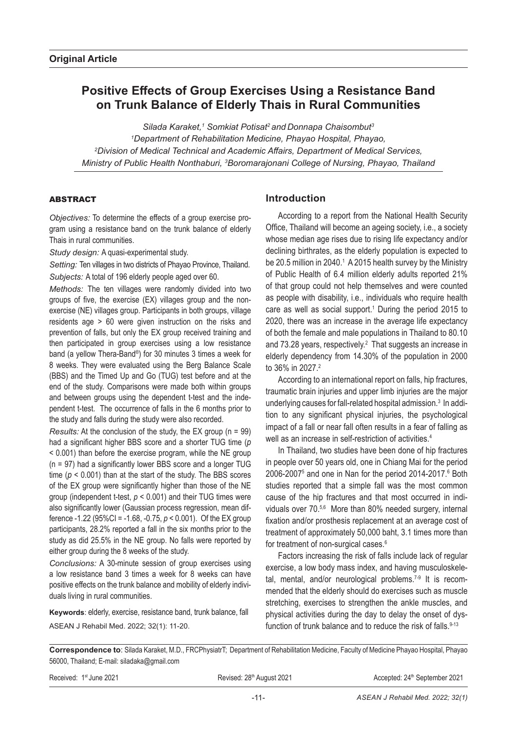# **Positive Effects of Group Exercises Using a Resistance Band on Trunk Balance of Elderly Thais in Rural Communities**

*Silada Karaket,1 Somkiat Potisat2 and Donnapa Chaisombut3 1 Department of Rehabilitation Medicine, Phayao Hospital, Phayao, 2 Division of Medical Technical and Academic Affairs, Department of Medical Services, Ministry of Public Health Nonthaburi, 3 Boromarajonani College of Nursing, Phayao, Thailand*

## ABSTRACT

*Objectives:* To determine the effects of a group exercise program using a resistance band on the trunk balance of elderly Thais in rural communities.

*Study design:* A quasi-experimental study.

*Setting:* Ten villages in two districts of Phayao Province, Thailand. *Subjects:* A total of 196 elderly people aged over 60.

*Methods:* The ten villages were randomly divided into two groups of five, the exercise (EX) villages group and the nonexercise (NE) villages group. Participants in both groups, village residents age > 60 were given instruction on the risks and prevention of falls, but only the EX group received training and then participated in group exercises using a low resistance band (a yellow Thera-Band®) for 30 minutes 3 times a week for 8 weeks. They were evaluated using the Berg Balance Scale (BBS) and the Timed Up and Go (TUG) test before and at the end of the study. Comparisons were made both within groups and between groups using the dependent t-test and the independent t-test. The occurrence of falls in the 6 months prior to the study and falls during the study were also recorded.

*Results:* At the conclusion of the study, the EX group (n = 99) had a significant higher BBS score and a shorter TUG time (*p* < 0.001) than before the exercise program, while the NE group (n = 97) had a significantly lower BBS score and a longer TUG time ( $p < 0.001$ ) than at the start of the study. The BBS scores of the EX group were significantly higher than those of the NE group (independent t-test, *p* < 0.001) and their TUG times were also significantly lower (Gaussian process regression, mean difference -1.22 (95%CI = -1.68, -0.75, *p* < 0.001). Of the EX group participants, 28.2% reported a fall in the six months prior to the study as did 25.5% in the NE group. No falls were reported by either group during the 8 weeks of the study.

*Conclusions:* A 30-minute session of group exercises using a low resistance band 3 times a week for 8 weeks can have positive effects on the trunk balance and mobility of elderly individuals living in rural communities.

**Keywords**: elderly, exercise, resistance band, trunk balance, fall ASEAN J Rehabil Med. 2022; 32(1): 11-20.

# **Introduction**

According to a report from the National Health Security Office, Thailand will become an ageing society, i.e., a society whose median age rises due to rising life expectancy and/or declining birthrates, as the elderly population is expected to be 20.5 million in 2040.<sup>1</sup> A 2015 health survey by the Ministry of Public Health of 6.4 million elderly adults reported 21% of that group could not help themselves and were counted as people with disability, i.e., individuals who require health care as well as social support.<sup>1</sup> During the period 2015 to 2020, there was an increase in the average life expectancy of both the female and male populations in Thailand to 80.10 and 73.28 years, respectively.<sup>2</sup> That suggests an increase in elderly dependency from 14.30% of the population in 2000 to 36% in 2027.<sup>2</sup>

According to an international report on falls, hip fractures, traumatic brain injuries and upper limb injuries are the major underlying causes for fall-related hospital admission.<sup>3</sup> In addition to any significant physical injuries, the psychological impact of a fall or near fall often results in a fear of falling as well as an increase in self-restriction of activities.<sup>4</sup>

In Thailand, two studies have been done of hip fractures in people over 50 years old, one in Chiang Mai for the period 2006-2007<sup>5</sup> and one in Nan for the period 2014-2017. $6$  Both studies reported that a simple fall was the most common cause of the hip fractures and that most occurred in individuals over 70.5,6 More than 80% needed surgery, internal fixation and/or prosthesis replacement at an average cost of treatment of approximately 50,000 baht, 3.1 times more than for treatment of non-surgical cases.<sup>6</sup>

Factors increasing the risk of falls include lack of regular exercise, a low body mass index, and having musculoskeletal, mental, and/or neurological problems.7-9 It is recommended that the elderly should do exercises such as muscle stretching, exercises to strengthen the ankle muscles, and physical activities during the day to delay the onset of dysfunction of trunk balance and to reduce the risk of falls.<sup>9-13</sup>

**Correspondence to**: Silada Karaket, M.D., FRCPhysiatrT; Department of Rehabilitation Medicine, Faculty of Medicine Phayao Hospital, Phayao 56000, Thailand; E-mail: siladaka@gmail.com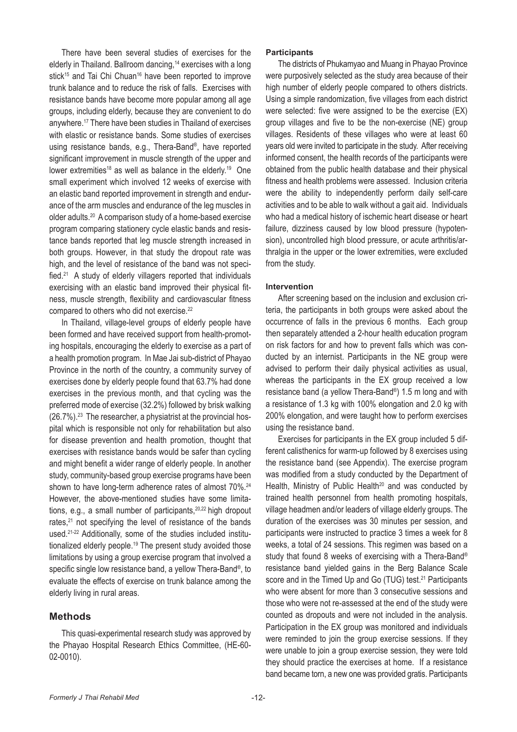There have been several studies of exercises for the elderly in Thailand. Ballroom dancing,<sup>14</sup> exercises with a long stick<sup>15</sup> and Tai Chi Chuan<sup>16</sup> have been reported to improve trunk balance and to reduce the risk of falls. Exercises with resistance bands have become more popular among all age groups, including elderly, because they are convenient to do anywhere.<sup>17</sup> There have been studies in Thailand of exercises with elastic or resistance bands. Some studies of exercises using resistance bands, e.g., Thera-Band®, have reported significant improvement in muscle strength of the upper and lower extremities<sup>18</sup> as well as balance in the elderly.<sup>19</sup> One small experiment which involved 12 weeks of exercise with an elastic band reported improvement in strength and endurance of the arm muscles and endurance of the leg muscles in older adults.20 A comparison study of a home-based exercise program comparing stationery cycle elastic bands and resistance bands reported that leg muscle strength increased in both groups. However, in that study the dropout rate was high, and the level of resistance of the band was not specified.21 A study of elderly villagers reported that individuals exercising with an elastic band improved their physical fitness, muscle strength, flexibility and cardiovascular fitness compared to others who did not exercise.<sup>22</sup>

In Thailand, village-level groups of elderly people have been formed and have received support from health-promoting hospitals, encouraging the elderly to exercise as a part of a health promotion program. In Mae Jai sub-district of Phayao Province in the north of the country, a community survey of exercises done by elderly people found that 63.7% had done exercises in the previous month, and that cycling was the preferred mode of exercise (32.2%) followed by brisk walking  $(26.7\%)$ .<sup>23</sup> The researcher, a physiatrist at the provincial hospital which is responsible not only for rehabilitation but also for disease prevention and health promotion, thought that exercises with resistance bands would be safer than cycling and might benefit a wider range of elderly people. In another study, community-based group exercise programs have been shown to have long-term adherence rates of almost 70%.<sup>24</sup> However, the above-mentioned studies have some limitations, e.g., a small number of participants, <sup>20,22</sup> high dropout rates,<sup>21</sup> not specifying the level of resistance of the bands used.<sup>21-22</sup> Additionally, some of the studies included institutionalized elderly people.19 The present study avoided those limitations by using a group exercise program that involved a specific single low resistance band, a yellow Thera-Band®, to evaluate the effects of exercise on trunk balance among the elderly living in rural areas.

### **Methods**

This quasi-experimental research study was approved by the Phayao Hospital Research Ethics Committee, (HE-60- 02-0010).

### **Participants**

The districts of Phukamyao and Muang in Phayao Province were purposively selected as the study area because of their high number of elderly people compared to others districts. Using a simple randomization, five villages from each district were selected: five were assigned to be the exercise (EX) group villages and five to be the non-exercise (NE) group villages. Residents of these villages who were at least 60 years old were invited to participate in the study. After receiving informed consent, the health records of the participants were obtained from the public health database and their physical fitness and health problems were assessed. Inclusion criteria were the ability to independently perform daily self-care activities and to be able to walk without a gait aid. Individuals who had a medical history of ischemic heart disease or heart failure, dizziness caused by low blood pressure (hypotension), uncontrolled high blood pressure, or acute arthritis/arthralgia in the upper or the lower extremities, were excluded from the study.

### **Intervention**

After screening based on the inclusion and exclusion criteria, the participants in both groups were asked about the occurrence of falls in the previous 6 months. Each group then separately attended a 2-hour health education program on risk factors for and how to prevent falls which was conducted by an internist. Participants in the NE group were advised to perform their daily physical activities as usual, whereas the participants in the EX group received a low resistance band (a yellow Thera-Band®) 1.5 m long and with a resistance of 1.3 kg with 100% elongation and 2.0 kg with 200% elongation, and were taught how to perform exercises using the resistance band.

Exercises for participants in the EX group included 5 different calisthenics for warm-up followed by 8 exercises using the resistance band (see Appendix). The exercise program was modified from a study conducted by the Department of Health, Ministry of Public Health<sup>20</sup> and was conducted by trained health personnel from health promoting hospitals, village headmen and/or leaders of village elderly groups. The duration of the exercises was 30 minutes per session, and participants were instructed to practice 3 times a week for 8 weeks, a total of 24 sessions. This regimen was based on a study that found 8 weeks of exercising with a Thera-Band® resistance band yielded gains in the Berg Balance Scale score and in the Timed Up and Go (TUG) test.<sup>21</sup> Participants who were absent for more than 3 consecutive sessions and those who were not re-assessed at the end of the study were counted as dropouts and were not included in the analysis. Participation in the EX group was monitored and individuals were reminded to join the group exercise sessions. If they were unable to join a group exercise session, they were told they should practice the exercises at home. If a resistance band became torn, a new one was provided gratis. Participants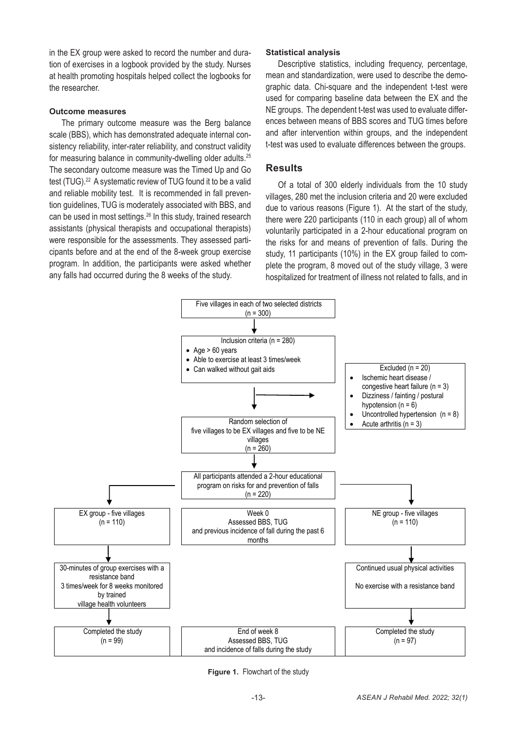in the EX group were asked to record the number and duration of exercises in a logbook provided by the study. Nurses at health promoting hospitals helped collect the logbooks for the researcher.

### **Outcome measures**

The primary outcome measure was the Berg balance ences between means of B scale (BBS), which has demonstrated adequate internal consistency reliability, inter-rater reliability, and construct validity the table used to evalu<br>. for measuring balance in community-dwelling older adults.<sup>25</sup> The secondary outcome measure was the Timed Up and Go  $\mathsf{Re}$ test (TUG).<sup>22</sup> A systematic review of TUG found it to be a valid and reliable mobility test. It is recommended in fall preven-<br>and reliable mobility test. It is recommended in fall preven-<br> $\frac{1}{2}$  villages 280 met the inclusion criteria and 20 w and reliable meaning teen interresemments of miliam proventional protection of the inclusion criteria and 20 w<br>tion guidelines, TUG is moderately associated with BBS, and a due to various reasons (Figure 1). At the start can be used in most settings.26 In this study, trained research assistants (physical therapists and occupational therapists) were responsible for the assessments. They assessed participants before and at the end of the 8-week group exercise program. In addition, the participants were asked whether any falls had occurred during the 8 weeks of the study.

### **Statistical analysis**

Descriptive statistics, including frequency, percentage, mean and standardization, were used to describe the demographic data. Chi-square and the independent t-test were used for comparing baseline data between the EX and the NE groups. The dependent t-test was used to evaluate differences between means of BBS scores and TUG times before and after intervention within groups, and the independent t-test was used to evaluate differences between the groups.

#### **Results** Non-exercise group

Of a total of 300 elderly individuals from the 10 study villages, 280 met the inclusion criteria and 20 were excluded guidelines, TOG is moderately associated with BBS, and  $\frac{d}{dx}$  due to various reasons (Figure 1). At the start of the study, 1 be used in most settings.<sup>20</sup> in this study, trained research there were 220 participants (110 in each group) all of whom intervals and accurational thermints. sistants (physical therapists and occupational therapists) voluntarily participated in a 2-hour educational program on re responsible for the assessments. They assessed parti- the risks for and means of prevention of falls. During the ants before and at the end of the 8-week group exercise study, 11 participants (10%) in the EX group failed to complete the program, 8 moved out of the study village, 3 were hospitalized for treatment of illness not related to falls, and in  $(0.98, 1)$ 



**Figure 1.** Flowchart of the study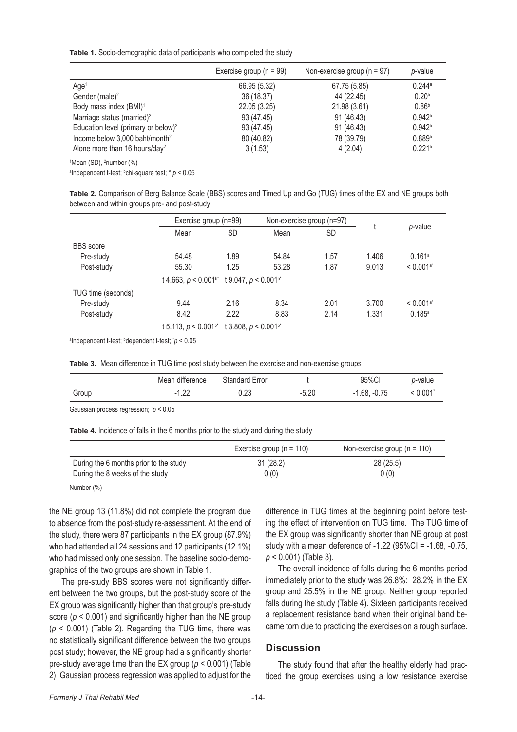**Table 1.** Socio-demographic data of participants who completed the study

|                                                 | Exercise group ( $n = 99$ ) | Non-exercise group ( $n = 97$ ) | p-value              |
|-------------------------------------------------|-----------------------------|---------------------------------|----------------------|
| Age <sup>1</sup>                                | 66.95 (5.32)                | 67.75 (5.85)                    | $0.244$ <sup>a</sup> |
| Gender (male) <sup>2</sup>                      | 36 (18.37)                  | 44 (22.45)                      | 0.20 <sup>b</sup>    |
| Body mass index (BMI) <sup>1</sup>              | 22.05 (3.25)                | 21.98 (3.61)                    | 0.86 <sup>b</sup>    |
| Marriage status (married) <sup>2</sup>          | 93 (47.45)                  | 91 (46.43)                      | 0.942 <sup>b</sup>   |
| Education level (primary or below) <sup>2</sup> | 93 (47.45)                  | 91 (46.43)                      | 0.942 <sup>b</sup>   |
| Income below $3,000$ baht/month <sup>2</sup>    | 80 (40.82)                  | 78 (39.79)                      | 0.889 <sup>b</sup>   |
| Alone more than 16 hours/day <sup>2</sup>       | 3(1.53)                     | 4(2.04)                         | 0.221 <sup>b</sup>   |

<sup>1</sup>Mean (SD), <sup>2</sup>number (%)

<sup>a</sup>Independent t-test; <sup>b</sup>chi-square test; \* *p* < 0.05

**Table 2.** Comparison of Berg Balance Scale (BBS) scores and Timed Up and Go (TUG) times of the EX and NE groups both between and within groups pre- and post-study

|                    | Exercise group (n=99)                                                 |           | Non-exercise group (n=97) |           |         |                         |
|--------------------|-----------------------------------------------------------------------|-----------|---------------------------|-----------|---------|-------------------------|
|                    | Mean                                                                  | <b>SD</b> | Mean                      | <b>SD</b> | p-value |                         |
| <b>BBS</b> score   |                                                                       |           |                           |           |         |                         |
| Pre-study          | 54.48                                                                 | 1.89      | 54.84                     | 1.57      | 1.406   | 0.161a                  |
| Post-study         | 55.30                                                                 | 1.25      | 53.28                     | 1.87      | 9.013   | $< 0.001$ <sup>a*</sup> |
|                    | t 4.663, $p < 0.001$ <sup>b*</sup> t 9.047, $p < 0.001$ <sup>b*</sup> |           |                           |           |         |                         |
| TUG time (seconds) |                                                                       |           |                           |           |         |                         |
| Pre-study          | 9.44                                                                  | 2.16      | 8.34                      | 2.01      | 3.700   | $< 0.001$ <sup>a*</sup> |
| Post-study         | 8.42                                                                  | 2.22      | 8.83                      | 2.14      | 1.331   | 0.185a                  |
|                    | t 5.113, $p < 0.001$ <sup>b*</sup> t 3.808, $p < 0.001$ <sup>b*</sup> |           |                           |           |         |                         |

a Independent t-test; <sup>b</sup> dependent t-test; \* *p* < 0.05

**Table 3.** Mean difference in TUG time post study between the exercise and non-exercise groups

|       | Mean difference   | Standard Error |         | 95%CI                  | o-value |
|-------|-------------------|----------------|---------|------------------------|---------|
| Group | nr<br>$\sim$<br>. | ng<br>J.∠J     | $-5.20$ | $-0.75$<br>.68.<br>- 1 | .0.001  |

Gaussian process regression; \* *p* < 0.05

**Table 4.** Incidence of falls in the 6 months prior to the study and during the study

|                                        | Exercise group ( $n = 110$ ) | Non-exercise group ( $n = 110$ ) |
|----------------------------------------|------------------------------|----------------------------------|
| During the 6 months prior to the study | 31(28.2)                     | 28(25.5)                         |
| During the 8 weeks of the study        | 0(0)                         | 0(0)                             |

Number (%)

the NE group 13 (11.8%) did not complete the program due to absence from the post-study re-assessment. At the end of the study, there were 87 participants in the EX group (87.9%) who had attended all 24 sessions and 12 participants (12.1%) who had missed only one session. The baseline socio-demographics of the two groups are shown in Table 1.

The pre-study BBS scores were not significantly different between the two groups, but the post-study score of the EX group was significantly higher than that group's pre-study score (*p* < 0.001) and significantly higher than the NE group (*p* < 0.001) (Table 2). Regarding the TUG time, there was no statistically significant difference between the two groups post study; however, the NE group had a significantly shorter pre-study average time than the EX group (*p* < 0.001) (Table 2). Gaussian process regression was applied to adjust for the difference in TUG times at the beginning point before testing the effect of intervention on TUG time. The TUG time of the EX group was significantly shorter than NE group at post study with a mean deference of -1.22 (95%CI = -1.68, -0.75, *p* < 0.001) (Table 3).

The overall incidence of falls during the 6 months period immediately prior to the study was 26.8%: 28.2% in the EX group and 25.5% in the NE group. Neither group reported falls during the study (Table 4). Sixteen participants received a replacement resistance band when their original band became torn due to practicing the exercises on a rough surface.

### **Discussion**

The study found that after the healthy elderly had practiced the group exercises using a low resistance exercise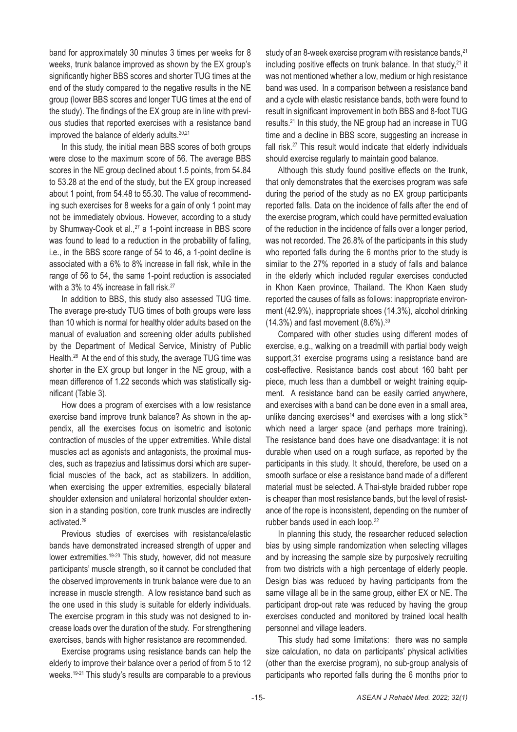band for approximately 30 minutes 3 times per weeks for 8 weeks, trunk balance improved as shown by the EX group's significantly higher BBS scores and shorter TUG times at the end of the study compared to the negative results in the NE group (lower BBS scores and longer TUG times at the end of the study). The findings of the EX group are in line with previous studies that reported exercises with a resistance band improved the balance of elderly adults.<sup>20,21</sup>

In this study, the initial mean BBS scores of both groups were close to the maximum score of 56. The average BBS scores in the NE group declined about 1.5 points, from 54.84 to 53.28 at the end of the study, but the EX group increased about 1 point, from 54.48 to 55.30. The value of recommending such exercises for 8 weeks for a gain of only 1 point may not be immediately obvious. However, according to a study by Shumway-Cook et al.,<sup>27</sup> a 1-point increase in BBS score was found to lead to a reduction in the probability of falling, i.e., in the BBS score range of 54 to 46, a 1-point decline is associated with a 6% to 8% increase in fall risk, while in the range of 56 to 54, the same 1-point reduction is associated with a 3% to 4% increase in fall risk.<sup>27</sup>

In addition to BBS, this study also assessed TUG time. The average pre-study TUG times of both groups were less than 10 which is normal for healthy older adults based on the manual of evaluation and screening older adults published by the Department of Medical Service, Ministry of Public Health.<sup>28</sup> At the end of this study, the average TUG time was shorter in the EX group but longer in the NE group, with a mean difference of 1.22 seconds which was statistically significant (Table 3).

How does a program of exercises with a low resistance exercise band improve trunk balance? As shown in the appendix, all the exercises focus on isometric and isotonic contraction of muscles of the upper extremities. While distal muscles act as agonists and antagonists, the proximal muscles, such as trapezius and latissimus dorsi which are superficial muscles of the back, act as stabilizers. In addition, when exercising the upper extremities, especially bilateral shoulder extension and unilateral horizontal shoulder extension in a standing position, core trunk muscles are indirectly activated.29

Previous studies of exercises with resistance/elastic bands have demonstrated increased strength of upper and lower extremities.19-20 This study, however, did not measure participants' muscle strength, so it cannot be concluded that the observed improvements in trunk balance were due to an increase in muscle strength. A low resistance band such as the one used in this study is suitable for elderly individuals. The exercise program in this study was not designed to increase loads over the duration of the study. For strengthening exercises, bands with higher resistance are recommended.

Exercise programs using resistance bands can help the elderly to improve their balance over a period of from 5 to 12 weeks.<sup>19-21</sup> This study's results are comparable to a previous study of an 8-week exercise program with resistance bands, <sup>21</sup> including positive effects on trunk balance. In that study, $21$  it was not mentioned whether a low, medium or high resistance band was used. In a comparison between a resistance band and a cycle with elastic resistance bands, both were found to result in significant improvement in both BBS and 8-foot TUG results.21 In this study, the NE group had an increase in TUG time and a decline in BBS score, suggesting an increase in fall risk.<sup>27</sup> This result would indicate that elderly individuals should exercise regularly to maintain good balance.

Although this study found positive effects on the trunk, that only demonstrates that the exercises program was safe during the period of the study as no EX group participants reported falls. Data on the incidence of falls after the end of the exercise program, which could have permitted evaluation of the reduction in the incidence of falls over a longer period, was not recorded. The 26.8% of the participants in this study who reported falls during the 6 months prior to the study is similar to the 27% reported in a study of falls and balance in the elderly which included regular exercises conducted in Khon Kaen province, Thailand. The Khon Kaen study reported the causes of falls as follows: inappropriate environment (42.9%), inappropriate shoes (14.3%), alcohol drinking  $(14.3\%)$  and fast movement  $(8.6\%).$ <sup>30</sup>

Compared with other studies using different modes of exercise, e.g., walking on a treadmill with partial body weigh support,31 exercise programs using a resistance band are cost-effective. Resistance bands cost about 160 baht per piece, much less than a dumbbell or weight training equipment. A resistance band can be easily carried anywhere, and exercises with a band can be done even in a small area, unlike dancing exercises<sup>14</sup> and exercises with a long stick<sup>15</sup> which need a larger space (and perhaps more training). The resistance band does have one disadvantage: it is not durable when used on a rough surface, as reported by the participants in this study. It should, therefore, be used on a smooth surface or else a resistance band made of a different material must be selected. A Thai-style braided rubber rope is cheaper than most resistance bands, but the level of resistance of the rope is inconsistent, depending on the number of rubber bands used in each loop.<sup>32</sup>

In planning this study, the researcher reduced selection bias by using simple randomization when selecting villages and by increasing the sample size by purposively recruiting from two districts with a high percentage of elderly people. Design bias was reduced by having participants from the same village all be in the same group, either EX or NE. The participant drop-out rate was reduced by having the group exercises conducted and monitored by trained local health personnel and village leaders.

This study had some limitations: there was no sample size calculation, no data on participants' physical activities (other than the exercise program), no sub-group analysis of participants who reported falls during the 6 months prior to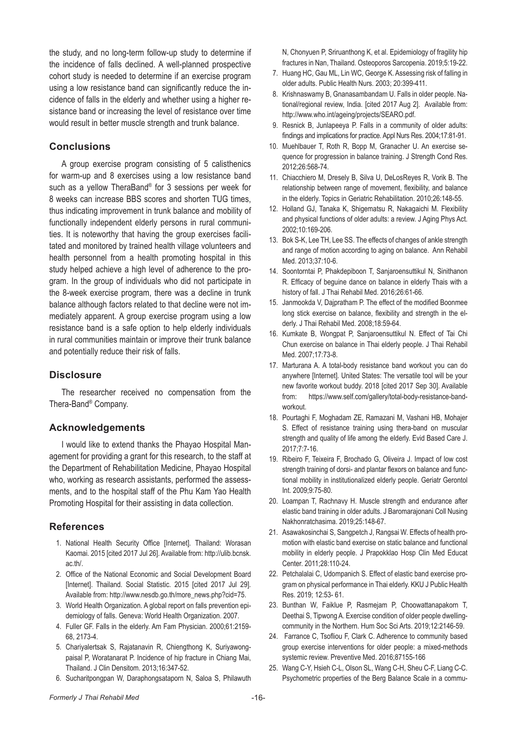the study, and no long-term follow-up study to determine if the incidence of falls declined. A well-planned prospective cohort study is needed to determine if an exercise program using a low resistance band can significantly reduce the incidence of falls in the elderly and whether using a higher resistance band or increasing the level of resistance over time would result in better muscle strength and trunk balance.

# **Conclusions**

A group exercise program consisting of 5 calisthenics for warm-up and 8 exercises using a low resistance band such as a yellow TheraBand® for 3 sessions per week for 8 weeks can increase BBS scores and shorten TUG times, thus indicating improvement in trunk balance and mobility of functionally independent elderly persons in rural communities. It is noteworthy that having the group exercises facilitated and monitored by trained health village volunteers and health personnel from a health promoting hospital in this study helped achieve a high level of adherence to the program. In the group of individuals who did not participate in the 8-week exercise program, there was a decline in trunk balance although factors related to that decline were not immediately apparent. A group exercise program using a low resistance band is a safe option to help elderly individuals in rural communities maintain or improve their trunk balance and potentially reduce their risk of falls.

# **Disclosure**

The researcher received no compensation from the Thera-Band® Company.

# **Acknowledgements**

I would like to extend thanks the Phayao Hospital Management for providing a grant for this research, to the staff at the Department of Rehabilitation Medicine, Phayao Hospital who, working as research assistants, performed the assessments, and to the hospital staff of the Phu Kam Yao Health Promoting Hospital for their assisting in data collection.

# **References**

- 1. National Health Security Office [Internet]. Thailand: Worasan Kaomai. 2015 [cited 2017 Jul 26]. Available from: http://ulib.bcnsk. ac.th/.
- 2. Office of the National Economic and Social Development Board [Internet]. Thailand. Social Statistic. 2015 [cited 2017 Jul 29]. Available from: http://www.nesdb.go.th/more\_news.php?cid=75.
- 3. World Health Organization. A global report on falls prevention epidemiology of falls. Geneva: World Health Organization. 2007.
- 4. Fuller GF. Falls in the elderly. Am Fam Physician. 2000;61:2159- 68, 2173-4.
- 5. Chariyalertsak S, Rajatanavin R, Chiengthong K, Suriyawongpaisal P, Woratanarat P. Incidence of hip fracture in Chiang Mai, Thailand. J Clin Densitom. 2013;16:347-52.
- 6. Sucharitpongpan W, Daraphongsataporn N, Saloa S, Philawuth

N, Chonyuen P, Sriruanthong K, et al. Epidemiology of fragility hip fractures in Nan, Thailand. Osteoporos Sarcopenia. 2019;5:19-22.

- 7. Huang HC, Gau ML, Lin WC, George K. Assessing risk of falling in older adults. Public Health Nurs. 2003; 20:399-411.
- 8. Krishnaswamy B, Gnanasambandam U. Falls in older people. National/regional review, India. [cited 2017 Aug 2]. Available from: http://www.who.int/ageing/projects/SEARO.pdf.
- 9. Resnick B, Junlapeeya P. Falls in a community of older adults: findings and implications for practice. Appl Nurs Res. 2004;17:81-91.
- 10. Muehlbauer T, Roth R, Bopp M, Granacher U. An exercise sequence for progression in balance training. J Strength Cond Res. 2012;26:568-74.
- 11. Chiacchiero M, Dresely B, Silva U, DeLosReyes R, Vorik B. The relationship between range of movement, flexibility, and balance in the elderly. Topics in Geriatric Rehabilitation. 2010;26:148-55.
- 12. Holland GJ, Tanaka K, Shigematsu R, Nakagaichi M. Flexibility and physical functions of older adults: a review. J Aging Phys Act. 2002;10:169-206.
- 13. Bok S-K, Lee TH, Lee SS. The effects of changes of ankle strength and range of motion according to aging on balance. Ann Rehabil Med. 2013;37:10-6.
- 14. Soontorntai P, Phakdepiboon T, Sanjaroensuttikul N, Sinithanon R. Efficacy of beguine dance on balance in elderly Thais with a history of fall. J Thai Rehabil Med. 2016;26:61-66.
- 15. Janmookda V, Dajpratham P. The effect of the modified Boonmee long stick exercise on balance, flexibility and strength in the elderly. J Thai Rehabil Med. 2008;18:59-64.
- 16. Kumkate B, Wongpat P, Sanjaroensuttikul N. Effect of Tai Chi Chun exercise on balance in Thai elderly people. J Thai Rehabil Med. 2007;17:73-8.
- 17. Marturana A. A total-body resistance band workout you can do anywhere [Internet]. United States: The versatile tool will be your new favorite workout buddy. 2018 [cited 2017 Sep 30]. Available from: https://www.self.com/gallery/total-body-resistance-bandworkout.
- 18. Pourtaghi F, Moghadam ZE, Ramazani M, Vashani HB, Mohajer S. Effect of resistance training using thera-band on muscular strength and quality of life among the elderly. Evid Based Care J. 2017;7:7-16.
- 19. Ribeiro F, Teixeira F, Brochado G, Oliveira J. Impact of low cost strength training of dorsi- and plantar flexors on balance and functional mobility in institutionalized elderly people. Geriatr Gerontol Int. 2009;9:75-80.
- 20. Loampan T, Rachnavy H. Muscle strength and endurance after elastic band training in older adults. J Baromarajonani Coll Nusing Nakhonratchasima. 2019;25:148-67.
- 21. Asawakosinchai S, Sangpetch J, Rangsai W. Effects of health promotion with elastic band exercise on static balance and functional mobility in elderly people. J Prapokklao Hosp Clin Med Educat Center. 2011;28:110-24.
- 22. Petchalalai C, Udompanich S. Effect of elastic band exercise program on physical performance in Thai elderly. KKU J Public Health Res. 2019; 12:53- 61.
- 23. Bunthan W, Faiklue P, Rasmejam P, Choowattanapakorn T, Deethai S, Tipwong A. Exercise condition of older people dwellingcommunity in the Northern. Hum Soc Sci Arts. 2019;12:2146-59.
- 24. Farrance C, Tsofliou F, Clark C. Adherence to community based group exercise interventions for older people: a mixed-methods systemic review. Preventive Med. 2016;87155-166
- 25. Wang C-Y, Hsieh C-L, Olson SL, Wang C-H, Sheu C-F, Liang C-C. Psychometric properties of the Berg Balance Scale in a commu-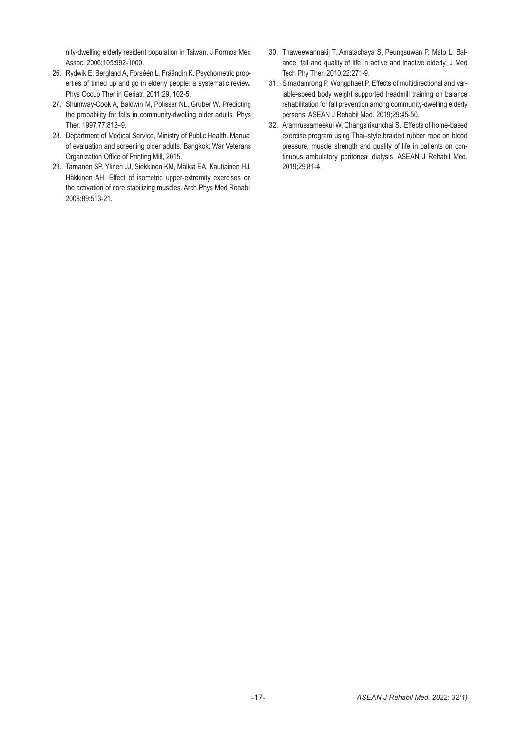nity-dwelling elderly resident population in Taiwan. J Formos Med Assoc. 2006;105:992-1000.

- 26. Rydwik E, Bergland A, Forséén L, Fräändin K. Psychometric properties of timed up and go in elderly people: a systematic review. Phys Occup Ther in Geriatr. 2011;29, 102-5.
- 27. Shumway-Cook A, Baldwin M, Polissar NL, Gruber W. Predicting the probability for falls in community-dwelling older adults. Phys Ther. 1997;77:812–9.
- 28. Department of Medical Service, Ministry of Public Health. Manual of evaluation and screening older adults. Bangkok: War Veterans Organization Office of Printing Mill, 2015.
- 29. Tarnanen SP, Ylinen JJ, Siekkinen KM, Mälkiä EA, Kautiainen HJ, Häkkinen AH. Effect of isometric upper-extremity exercises on the activation of core stabilizing muscles. Arch Phys Med Rehabil 2008;89:513-21.
- 30. Thaweewannakij T, Amatachaya S, Peungsuwan P, Mato L. Balance, fall and quality of life in active and inactive elderly. J Med Tech Phy Ther. 2010;22:271-9.
- 31. Simadamrong P, Wongphaet P. Effects of multidirectional and variable-speed body weight supported treadmill training on balance rehabilitation for fall prevention among community-dwelling elderly persons. ASEAN J Rehabil Med. 2019;29:45-50.
- 32. Aramrussameekul W, Changsirikunchai S. Effects of home-based exercise program using Thai–style braided rubber rope on blood pressure, muscle strength and quality of life in patients on continuous ambulatory peritoneal dialysis. ASEAN J Rehabil Med. 2019;29:81-4.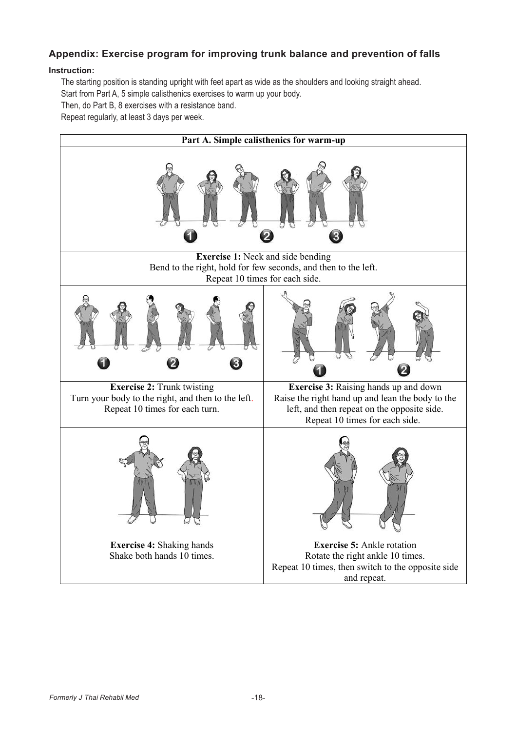# **Appendix: Exercise program for improving trunk balance and prevention of falls Instruction:**

#### **Instruction:**   $\frac{1}{2}$  starting position is starting upright with feet apart as wide as  $\frac{1}{2}$  such as the shoulders and looking and looking as the shoulders and looking as the shoulders and looking as the shoulders and looking and

The starting position is standing upright with feet apart as wide as the shoulders and looking straight ahead. Start from Part A, 5 simple calisthenics exercises to warm up your body. Start from Part A, 5 simple calisthenics exercises to warm up your body.

Then, do Part B, 8 exercises with a resistance band. Then, do Part B, 8 exercises with a resistance band.

Repeat regularly, at least 3 days per week. Repeat regularly, at least 3 days per week.

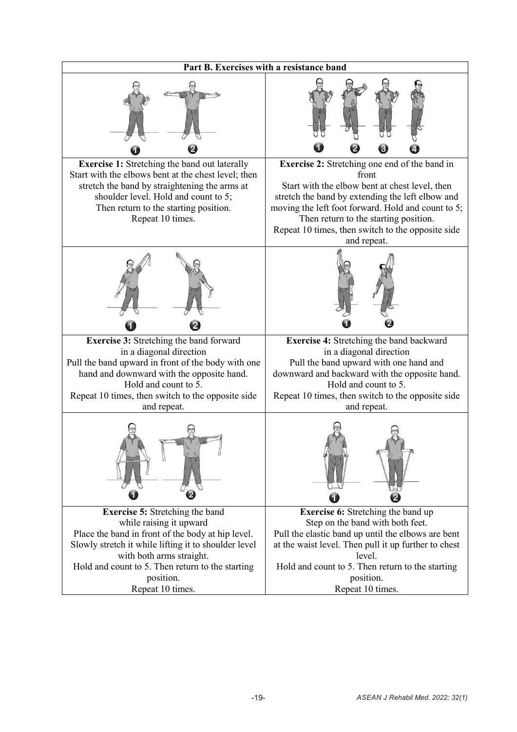